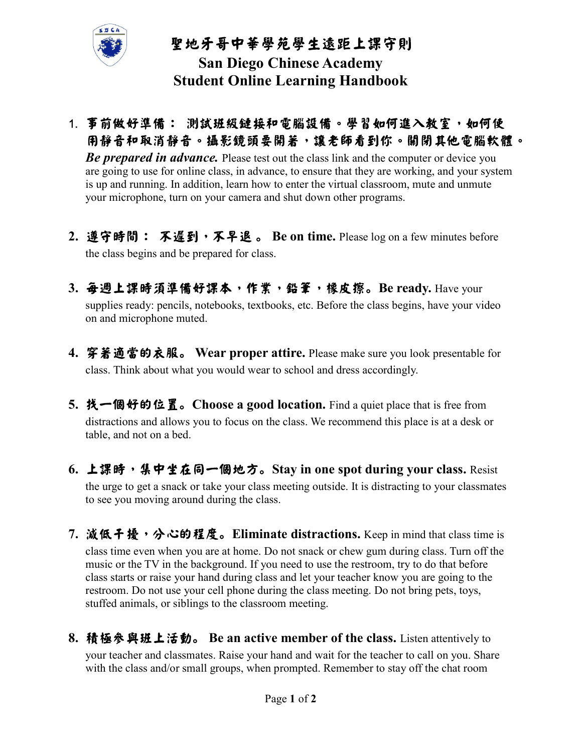

## 聖地牙哥中華學苑學生遠距上課守則 San Diego Chinese Academy Student Online Learning Handbook

- 1. 事前做好準備: 測試班級鏈接和電腦設備。學習如何進入教室,如何使 用靜音和取消靜音。攝影鏡頭要開著,讓老師看到你。關閉其他電腦軟體。 **Be prepared in advance.** Please test out the class link and the computer or device you are going to use for online class, in advance, to ensure that they are working, and your system is up and running. In addition, learn how to enter the virtual classroom, mute and unmute your microphone, turn on your camera and shut down other programs.
- 2. 遵守時間: 不遲到,不早退。 Be on time. Please log on a few minutes before the class begins and be prepared for class.
- 3. 每週上課時須準備好課本,作業,鉛筆,橡皮擦。Be ready. Have your supplies ready: pencils, notebooks, textbooks, etc. Before the class begins, have your video on and microphone muted.
- 4. 穿著適當的衣服。 Wear proper attire. Please make sure you look presentable for class. Think about what you would wear to school and dress accordingly.
- 5. 找一個好的位置。Choose a good location. Find a quiet place that is free from distractions and allows you to focus on the class. We recommend this place is at a desk or table, and not on a bed.
- 6. 上課時,集中坐在同一個地方。Stay in one spot during your class. Resist the urge to get a snack or take your class meeting outside. It is distracting to your classmates to see you moving around during the class.
- 7. 滅低干擾,分心的程度。Eliminate distractions. Keep in mind that class time is class time even when you are at home. Do not snack or chew gum during class. Turn off the music or the TV in the background. If you need to use the restroom, try to do that before class starts or raise your hand during class and let your teacher know you are going to the restroom. Do not use your cell phone during the class meeting. Do not bring pets, toys, stuffed animals, or siblings to the classroom meeting.
- 8. 積極參與班上活動。 Be an active member of the class. Listen attentively to your teacher and classmates. Raise your hand and wait for the teacher to call on you. Share with the class and/or small groups, when prompted. Remember to stay off the chat room